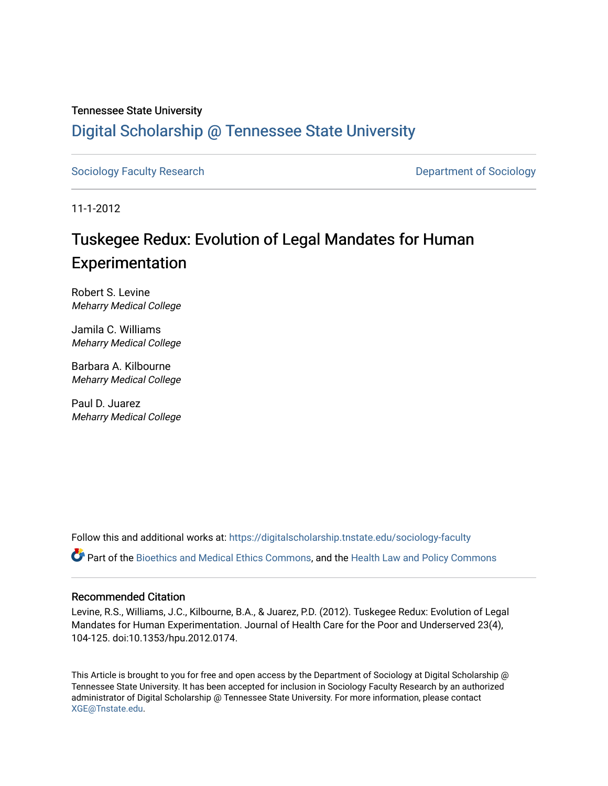# Tennessee State University

## [Digital Scholarship @ Tennessee State University](https://digitalscholarship.tnstate.edu/)

[Sociology Faculty Research](https://digitalscholarship.tnstate.edu/sociology-faculty) **Department of Sociology Department of Sociology** 

11-1-2012

# Tuskegee Redux: Evolution of Legal Mandates for Human Experimentation

Robert S. Levine Meharry Medical College

Jamila C. Williams Meharry Medical College

Barbara A. Kilbourne Meharry Medical College

Paul D. Juarez Meharry Medical College

Follow this and additional works at: [https://digitalscholarship.tnstate.edu/sociology-faculty](https://digitalscholarship.tnstate.edu/sociology-faculty?utm_source=digitalscholarship.tnstate.edu%2Fsociology-faculty%2F13&utm_medium=PDF&utm_campaign=PDFCoverPages) 

Part of the [Bioethics and Medical Ethics Commons,](http://network.bepress.com/hgg/discipline/650?utm_source=digitalscholarship.tnstate.edu%2Fsociology-faculty%2F13&utm_medium=PDF&utm_campaign=PDFCoverPages) and the [Health Law and Policy Commons](http://network.bepress.com/hgg/discipline/901?utm_source=digitalscholarship.tnstate.edu%2Fsociology-faculty%2F13&utm_medium=PDF&utm_campaign=PDFCoverPages)

#### Recommended Citation

Levine, R.S., Williams, J.C., Kilbourne, B.A., & Juarez, P.D. (2012). Tuskegee Redux: Evolution of Legal Mandates for Human Experimentation. Journal of Health Care for the Poor and Underserved 23(4), 104-125. doi:10.1353/hpu.2012.0174.

This Article is brought to you for free and open access by the Department of Sociology at Digital Scholarship @ Tennessee State University. It has been accepted for inclusion in Sociology Faculty Research by an authorized administrator of Digital Scholarship @ Tennessee State University. For more information, please contact [XGE@Tnstate.edu](mailto:XGE@Tnstate.edu).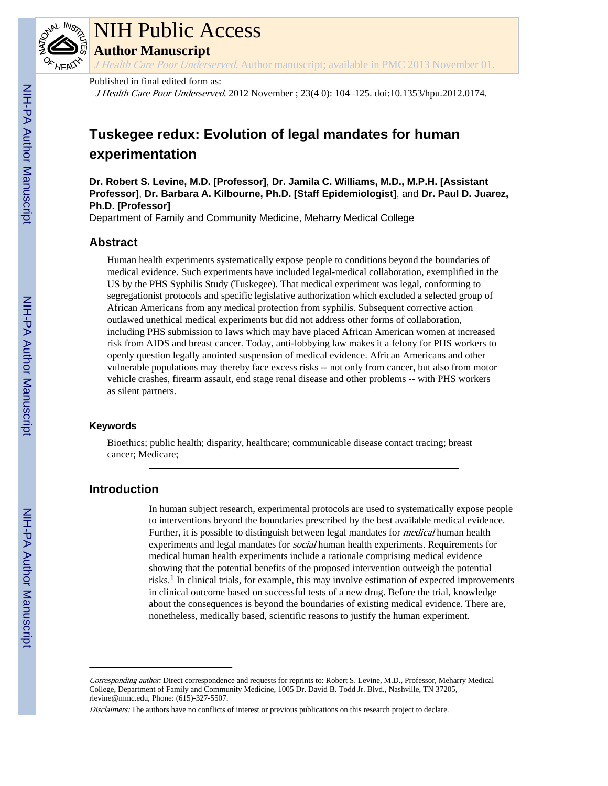

# NIH Public Access

**Author Manuscript**

J Health Care Poor Underserved. Author manuscript; available in PMC 2013 November 01.

Published in final edited form as:

J Health Care Poor Underserved. 2012 November ; 23(4 0): 104–125. doi:10.1353/hpu.2012.0174.

### **Tuskegee redux: Evolution of legal mandates for human experimentation**

**Dr. Robert S. Levine, M.D. [Professor]**, **Dr. Jamila C. Williams, M.D., M.P.H. [Assistant Professor]**, **Dr. Barbara A. Kilbourne, Ph.D. [Staff Epidemiologist]**, and **Dr. Paul D. Juarez, Ph.D. [Professor]**

Department of Family and Community Medicine, Meharry Medical College

#### **Abstract**

Human health experiments systematically expose people to conditions beyond the boundaries of medical evidence. Such experiments have included legal-medical collaboration, exemplified in the US by the PHS Syphilis Study (Tuskegee). That medical experiment was legal, conforming to segregationist protocols and specific legislative authorization which excluded a selected group of African Americans from any medical protection from syphilis. Subsequent corrective action outlawed unethical medical experiments but did not address other forms of collaboration, including PHS submission to laws which may have placed African American women at increased risk from AIDS and breast cancer. Today, anti-lobbying law makes it a felony for PHS workers to openly question legally anointed suspension of medical evidence. African Americans and other vulnerable populations may thereby face excess risks -- not only from cancer, but also from motor vehicle crashes, firearm assault, end stage renal disease and other problems -- with PHS workers as silent partners.

#### **Keywords**

Bioethics; public health; disparity, healthcare; communicable disease contact tracing; breast cancer; Medicare;

#### **Introduction**

In human subject research, experimental protocols are used to systematically expose people to interventions beyond the boundaries prescribed by the best available medical evidence. Further, it is possible to distinguish between legal mandates for *medical* human health experiments and legal mandates for social human health experiments. Requirements for medical human health experiments include a rationale comprising medical evidence showing that the potential benefits of the proposed intervention outweigh the potential risks.<sup>1</sup> In clinical trials, for example, this may involve estimation of expected improvements in clinical outcome based on successful tests of a new drug. Before the trial, knowledge about the consequences is beyond the boundaries of existing medical evidence. There are, nonetheless, medically based, scientific reasons to justify the human experiment.

Corresponding author: Direct correspondence and requests for reprints to: Robert S. Levine, M.D., Professor, Meharry Medical College, Department of Family and Community Medicine, 1005 Dr. David B. Todd Jr. Blvd., Nashville, TN 37205, rlevine@mmc.edu, Phone: (615)-327-5507.

Disclaimers: The authors have no conflicts of interest or previous publications on this research project to declare.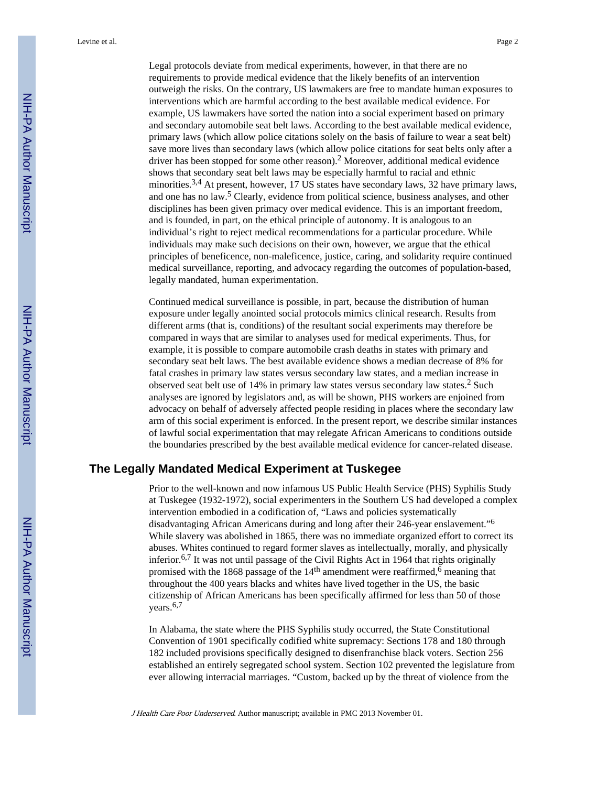Legal protocols deviate from medical experiments, however, in that there are no requirements to provide medical evidence that the likely benefits of an intervention outweigh the risks. On the contrary, US lawmakers are free to mandate human exposures to interventions which are harmful according to the best available medical evidence. For example, US lawmakers have sorted the nation into a social experiment based on primary and secondary automobile seat belt laws. According to the best available medical evidence, primary laws (which allow police citations solely on the basis of failure to wear a seat belt) save more lives than secondary laws (which allow police citations for seat belts only after a driver has been stopped for some other reason).<sup>2</sup> Moreover, additional medical evidence shows that secondary seat belt laws may be especially harmful to racial and ethnic minorities.<sup>3,4</sup> At present, however, 17 US states have secondary laws, 32 have primary laws, and one has no law.<sup>5</sup> Clearly, evidence from political science, business analyses, and other disciplines has been given primacy over medical evidence. This is an important freedom, and is founded, in part, on the ethical principle of autonomy. It is analogous to an individual's right to reject medical recommendations for a particular procedure. While individuals may make such decisions on their own, however, we argue that the ethical principles of beneficence, non-maleficence, justice, caring, and solidarity require continued medical surveillance, reporting, and advocacy regarding the outcomes of population-based, legally mandated, human experimentation.

Continued medical surveillance is possible, in part, because the distribution of human exposure under legally anointed social protocols mimics clinical research. Results from different arms (that is, conditions) of the resultant social experiments may therefore be compared in ways that are similar to analyses used for medical experiments. Thus, for example, it is possible to compare automobile crash deaths in states with primary and secondary seat belt laws. The best available evidence shows a median decrease of 8% for fatal crashes in primary law states versus secondary law states, and a median increase in observed seat belt use of 14% in primary law states versus secondary law states.<sup>2</sup> Such analyses are ignored by legislators and, as will be shown, PHS workers are enjoined from advocacy on behalf of adversely affected people residing in places where the secondary law arm of this social experiment is enforced. In the present report, we describe similar instances of lawful social experimentation that may relegate African Americans to conditions outside the boundaries prescribed by the best available medical evidence for cancer-related disease.

#### **The Legally Mandated Medical Experiment at Tuskegee**

Prior to the well-known and now infamous US Public Health Service (PHS) Syphilis Study at Tuskegee (1932-1972), social experimenters in the Southern US had developed a complex intervention embodied in a codification of, "Laws and policies systematically disadvantaging African Americans during and long after their 246-year enslavement."<sup>6</sup> While slavery was abolished in 1865, there was no immediate organized effort to correct its abuses. Whites continued to regard former slaves as intellectually, morally, and physically inferior.6,7 It was not until passage of the Civil Rights Act in 1964 that rights originally promised with the 1868 passage of the 14<sup>th</sup> amendment were reaffirmed,<sup>6</sup> meaning that throughout the 400 years blacks and whites have lived together in the US, the basic citizenship of African Americans has been specifically affirmed for less than 50 of those years.<sup>6,7</sup>

In Alabama, the state where the PHS Syphilis study occurred, the State Constitutional Convention of 1901 specifically codified white supremacy: Sections 178 and 180 through 182 included provisions specifically designed to disenfranchise black voters. Section 256 established an entirely segregated school system. Section 102 prevented the legislature from ever allowing interracial marriages. "Custom, backed up by the threat of violence from the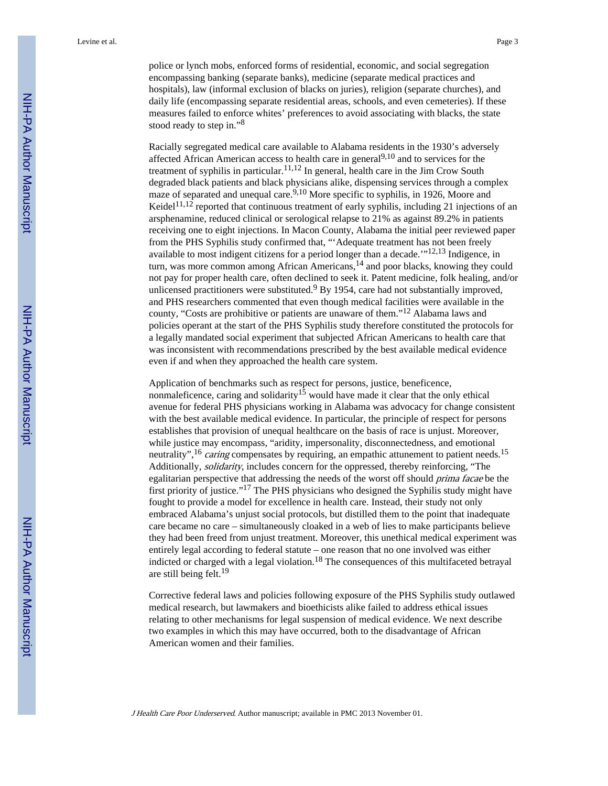police or lynch mobs, enforced forms of residential, economic, and social segregation encompassing banking (separate banks), medicine (separate medical practices and hospitals), law (informal exclusion of blacks on juries), religion (separate churches), and daily life (encompassing separate residential areas, schools, and even cemeteries). If these measures failed to enforce whites' preferences to avoid associating with blacks, the state stood ready to step in."<sup>8</sup>

Racially segregated medical care available to Alabama residents in the 1930's adversely affected African American access to health care in general9,10 and to services for the treatment of syphilis in particular.<sup>11,12</sup> In general, health care in the Jim Crow South degraded black patients and black physicians alike, dispensing services through a complex maze of separated and unequal care.<sup>9,10</sup> More specific to syphilis, in 1926, Moore and Keidel<sup>11,12</sup> reported that continuous treatment of early syphilis, including 21 injections of an arsphenamine, reduced clinical or serological relapse to 21% as against 89.2% in patients receiving one to eight injections. In Macon County, Alabama the initial peer reviewed paper from the PHS Syphilis study confirmed that, "'Adequate treatment has not been freely available to most indigent citizens for a period longer than a decade.'"12,13 Indigence, in turn, was more common among African Americans,<sup>14</sup> and poor blacks, knowing they could not pay for proper health care, often declined to seek it. Patent medicine, folk healing, and/or unlicensed practitioners were substituted.  $9$  By 1954, care had not substantially improved, and PHS researchers commented that even though medical facilities were available in the county, "Costs are prohibitive or patients are unaware of them."12 Alabama laws and policies operant at the start of the PHS Syphilis study therefore constituted the protocols for a legally mandated social experiment that subjected African Americans to health care that was inconsistent with recommendations prescribed by the best available medical evidence even if and when they approached the health care system.

Application of benchmarks such as respect for persons, justice, beneficence, nonmaleficence, caring and solidarity<sup>15</sup> would have made it clear that the only ethical avenue for federal PHS physicians working in Alabama was advocacy for change consistent with the best available medical evidence. In particular, the principle of respect for persons establishes that provision of unequal healthcare on the basis of race is unjust. Moreover, while justice may encompass, "aridity, impersonality, disconnectedness, and emotional neutrality",<sup>16</sup> caring compensates by requiring, an empathic attunement to patient needs.<sup>15</sup> Additionally, solidarity, includes concern for the oppressed, thereby reinforcing, "The egalitarian perspective that addressing the needs of the worst off should prima facae be the first priority of justice."17 The PHS physicians who designed the Syphilis study might have fought to provide a model for excellence in health care. Instead, their study not only embraced Alabama's unjust social protocols, but distilled them to the point that inadequate care became no care – simultaneously cloaked in a web of lies to make participants believe they had been freed from unjust treatment. Moreover, this unethical medical experiment was entirely legal according to federal statute – one reason that no one involved was either indicted or charged with a legal violation.<sup>18</sup> The consequences of this multifaceted betrayal are still being felt.<sup>19</sup>

Corrective federal laws and policies following exposure of the PHS Syphilis study outlawed medical research, but lawmakers and bioethicists alike failed to address ethical issues relating to other mechanisms for legal suspension of medical evidence. We next describe two examples in which this may have occurred, both to the disadvantage of African American women and their families.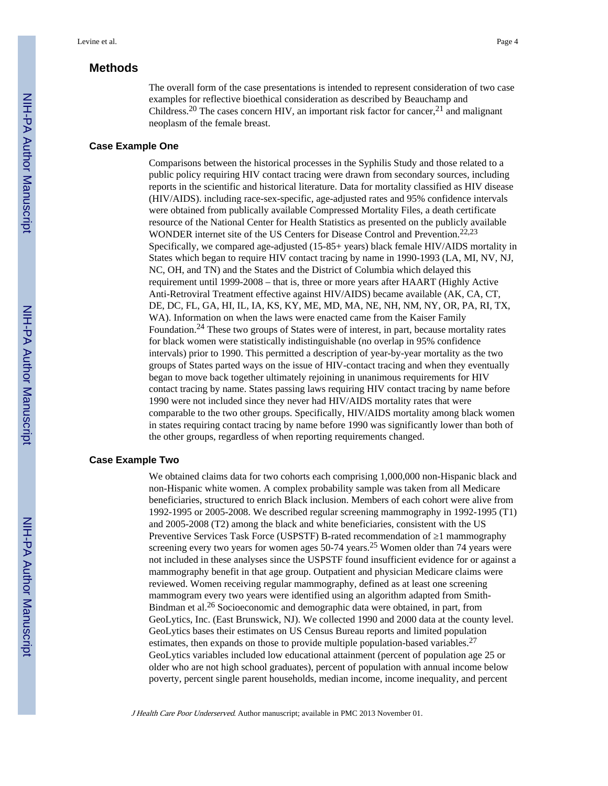#### **Methods**

The overall form of the case presentations is intended to represent consideration of two case examples for reflective bioethical consideration as described by Beauchamp and Childress.<sup>20</sup> The cases concern HIV, an important risk factor for cancer,<sup>21</sup> and malignant neoplasm of the female breast.

#### **Case Example One**

Comparisons between the historical processes in the Syphilis Study and those related to a public policy requiring HIV contact tracing were drawn from secondary sources, including reports in the scientific and historical literature. Data for mortality classified as HIV disease (HIV/AIDS). including race-sex-specific, age-adjusted rates and 95% confidence intervals were obtained from publically available Compressed Mortality Files, a death certificate resource of the National Center for Health Statistics as presented on the publicly available WONDER internet site of the US Centers for Disease Control and Prevention.<sup>22,23</sup> Specifically, we compared age-adjusted (15-85+ years) black female HIV/AIDS mortality in States which began to require HIV contact tracing by name in 1990-1993 (LA, MI, NV, NJ, NC, OH, and TN) and the States and the District of Columbia which delayed this requirement until 1999-2008 – that is, three or more years after HAART (Highly Active Anti-Retroviral Treatment effective against HIV/AIDS) became available (AK, CA, CT, DE, DC, FL, GA, HI, IL, IA, KS, KY, ME, MD, MA, NE, NH, NM, NY, OR, PA, RI, TX, WA). Information on when the laws were enacted came from the Kaiser Family Foundation.24 These two groups of States were of interest, in part, because mortality rates for black women were statistically indistinguishable (no overlap in 95% confidence intervals) prior to 1990. This permitted a description of year-by-year mortality as the two groups of States parted ways on the issue of HIV-contact tracing and when they eventually began to move back together ultimately rejoining in unanimous requirements for HIV contact tracing by name. States passing laws requiring HIV contact tracing by name before 1990 were not included since they never had HIV/AIDS mortality rates that were comparable to the two other groups. Specifically, HIV/AIDS mortality among black women in states requiring contact tracing by name before 1990 was significantly lower than both of the other groups, regardless of when reporting requirements changed.

#### **Case Example Two**

We obtained claims data for two cohorts each comprising 1,000,000 non-Hispanic black and non-Hispanic white women. A complex probability sample was taken from all Medicare beneficiaries, structured to enrich Black inclusion. Members of each cohort were alive from 1992-1995 or 2005-2008. We described regular screening mammography in 1992-1995 (T1) and 2005-2008 (T2) among the black and white beneficiaries, consistent with the US Preventive Services Task Force (USPSTF) B-rated recommendation of 1 mammography screening every two years for women ages 50-74 years.<sup>25</sup> Women older than 74 years were not included in these analyses since the USPSTF found insufficient evidence for or against a mammography benefit in that age group. Outpatient and physician Medicare claims were reviewed. Women receiving regular mammography, defined as at least one screening mammogram every two years were identified using an algorithm adapted from Smith-Bindman et al.26 Socioeconomic and demographic data were obtained, in part, from GeoLytics, Inc. (East Brunswick, NJ). We collected 1990 and 2000 data at the county level. GeoLytics bases their estimates on US Census Bureau reports and limited population estimates, then expands on those to provide multiple population-based variables.<sup>27</sup> GeoLytics variables included low educational attainment (percent of population age 25 or older who are not high school graduates), percent of population with annual income below poverty, percent single parent households, median income, income inequality, and percent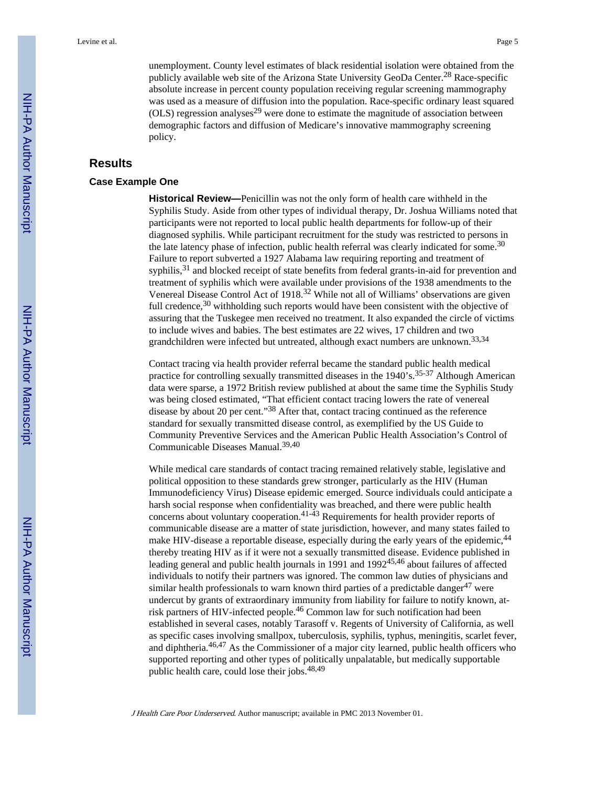unemployment. County level estimates of black residential isolation were obtained from the publicly available web site of the Arizona State University GeoDa Center.<sup>28</sup> Race-specific absolute increase in percent county population receiving regular screening mammography was used as a measure of diffusion into the population. Race-specific ordinary least squared  $(OLS)$  regression analyses<sup>29</sup> were done to estimate the magnitude of association between demographic factors and diffusion of Medicare's innovative mammography screening policy.

#### **Results**

#### **Case Example One**

**Historical Review—**Penicillin was not the only form of health care withheld in the Syphilis Study. Aside from other types of individual therapy, Dr. Joshua Williams noted that participants were not reported to local public health departments for follow-up of their diagnosed syphilis. While participant recruitment for the study was restricted to persons in the late latency phase of infection, public health referral was clearly indicated for some.<sup>30</sup> Failure to report subverted a 1927 Alabama law requiring reporting and treatment of syphilis, $31$  and blocked receipt of state benefits from federal grants-in-aid for prevention and treatment of syphilis which were available under provisions of the 1938 amendments to the Venereal Disease Control Act of 1918.32 While not all of Williams' observations are given full credence,<sup>30</sup> withholding such reports would have been consistent with the objective of assuring that the Tuskegee men received no treatment. It also expanded the circle of victims to include wives and babies. The best estimates are 22 wives, 17 children and two grandchildren were infected but untreated, although exact numbers are unknown.<sup>33,34</sup>

Contact tracing via health provider referral became the standard public health medical practice for controlling sexually transmitted diseases in the 1940's.35-37 Although American data were sparse, a 1972 British review published at about the same time the Syphilis Study was being closed estimated, "That efficient contact tracing lowers the rate of venereal disease by about 20 per cent."38 After that, contact tracing continued as the reference standard for sexually transmitted disease control, as exemplified by the US Guide to Community Preventive Services and the American Public Health Association's Control of Communicable Diseases Manual.39,40

While medical care standards of contact tracing remained relatively stable, legislative and political opposition to these standards grew stronger, particularly as the HIV (Human Immunodeficiency Virus) Disease epidemic emerged. Source individuals could anticipate a harsh social response when confidentiality was breached, and there were public health concerns about voluntary cooperation.<sup>41-43</sup> Requirements for health provider reports of communicable disease are a matter of state jurisdiction, however, and many states failed to make HIV-disease a reportable disease, especially during the early years of the epidemic,<sup>44</sup> thereby treating HIV as if it were not a sexually transmitted disease. Evidence published in leading general and public health journals in 1991 and 1992<sup>45,46</sup> about failures of affected individuals to notify their partners was ignored. The common law duties of physicians and similar health professionals to warn known third parties of a predictable danger $47$  were undercut by grants of extraordinary immunity from liability for failure to notify known, atrisk partners of HIV-infected people.46 Common law for such notification had been established in several cases, notably Tarasoff v. Regents of University of California, as well as specific cases involving smallpox, tuberculosis, syphilis, typhus, meningitis, scarlet fever, and diphtheria.46,47 As the Commissioner of a major city learned, public health officers who supported reporting and other types of politically unpalatable, but medically supportable public health care, could lose their jobs.<sup>48,49</sup>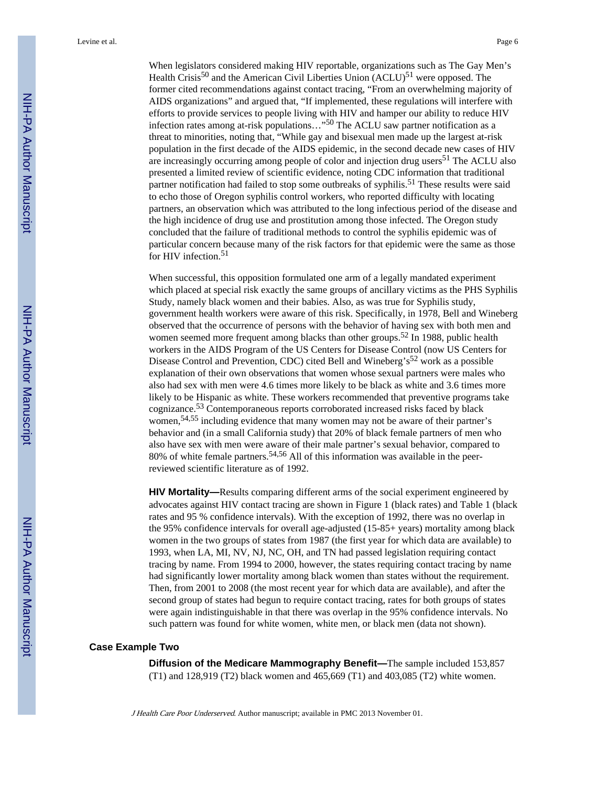When legislators considered making HIV reportable, organizations such as The Gay Men's Health Crisis<sup>50</sup> and the American Civil Liberties Union (ACLU)<sup>51</sup> were opposed. The former cited recommendations against contact tracing, "From an overwhelming majority of AIDS organizations" and argued that, "If implemented, these regulations will interfere with efforts to provide services to people living with HIV and hamper our ability to reduce HIV infection rates among at-risk populations…"50 The ACLU saw partner notification as a threat to minorities, noting that, "While gay and bisexual men made up the largest at-risk population in the first decade of the AIDS epidemic, in the second decade new cases of HIV are increasingly occurring among people of color and injection drug users<sup>51</sup> The ACLU also presented a limited review of scientific evidence, noting CDC information that traditional partner notification had failed to stop some outbreaks of syphilis.<sup>51</sup> These results were said to echo those of Oregon syphilis control workers, who reported difficulty with locating partners, an observation which was attributed to the long infectious period of the disease and the high incidence of drug use and prostitution among those infected. The Oregon study concluded that the failure of traditional methods to control the syphilis epidemic was of particular concern because many of the risk factors for that epidemic were the same as those for HIV infection.<sup>51</sup>

When successful, this opposition formulated one arm of a legally mandated experiment which placed at special risk exactly the same groups of ancillary victims as the PHS Syphilis Study, namely black women and their babies. Also, as was true for Syphilis study, government health workers were aware of this risk. Specifically, in 1978, Bell and Wineberg observed that the occurrence of persons with the behavior of having sex with both men and women seemed more frequent among blacks than other groups.<sup>52</sup> In 1988, public health workers in the AIDS Program of the US Centers for Disease Control (now US Centers for Disease Control and Prevention, CDC) cited Bell and Wineberg's<sup>52</sup> work as a possible explanation of their own observations that women whose sexual partners were males who also had sex with men were 4.6 times more likely to be black as white and 3.6 times more likely to be Hispanic as white. These workers recommended that preventive programs take cognizance.53 Contemporaneous reports corroborated increased risks faced by black women,<sup>54,55</sup> including evidence that many women may not be aware of their partner's behavior and (in a small California study) that 20% of black female partners of men who also have sex with men were aware of their male partner's sexual behavior, compared to 80% of white female partners.<sup>54,56</sup> All of this information was available in the peerreviewed scientific literature as of 1992.

**HIV Mortality—**Results comparing different arms of the social experiment engineered by advocates against HIV contact tracing are shown in Figure 1 (black rates) and Table 1 (black rates and 95 % confidence intervals). With the exception of 1992, there was no overlap in the 95% confidence intervals for overall age-adjusted (15-85+ years) mortality among black women in the two groups of states from 1987 (the first year for which data are available) to 1993, when LA, MI, NV, NJ, NC, OH, and TN had passed legislation requiring contact tracing by name. From 1994 to 2000, however, the states requiring contact tracing by name had significantly lower mortality among black women than states without the requirement. Then, from 2001 to 2008 (the most recent year for which data are available), and after the second group of states had begun to require contact tracing, rates for both groups of states were again indistinguishable in that there was overlap in the 95% confidence intervals. No such pattern was found for white women, white men, or black men (data not shown).

#### **Case Example Two**

**Diffusion of the Medicare Mammography Benefit—**The sample included 153,857 (T1) and 128,919 (T2) black women and 465,669 (T1) and 403,085 (T2) white women.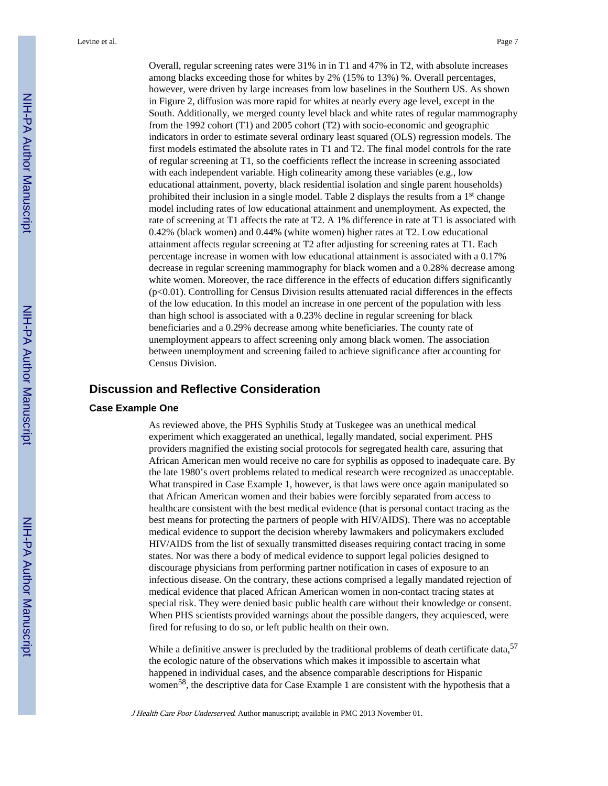Overall, regular screening rates were 31% in in T1 and 47% in T2, with absolute increases among blacks exceeding those for whites by 2% (15% to 13%) %. Overall percentages, however, were driven by large increases from low baselines in the Southern US. As shown in Figure 2, diffusion was more rapid for whites at nearly every age level, except in the South. Additionally, we merged county level black and white rates of regular mammography from the 1992 cohort (T1) and 2005 cohort (T2) with socio-economic and geographic indicators in order to estimate several ordinary least squared (OLS) regression models. The first models estimated the absolute rates in T1 and T2. The final model controls for the rate of regular screening at T1, so the coefficients reflect the increase in screening associated with each independent variable. High colinearity among these variables (e.g., low educational attainment, poverty, black residential isolation and single parent households) prohibited their inclusion in a single model. Table 2 displays the results from a 1<sup>st</sup> change model including rates of low educational attainment and unemployment. As expected, the rate of screening at T1 affects the rate at T2. A 1% difference in rate at T1 is associated with 0.42% (black women) and 0.44% (white women) higher rates at T2. Low educational attainment affects regular screening at T2 after adjusting for screening rates at T1. Each percentage increase in women with low educational attainment is associated with a 0.17% decrease in regular screening mammography for black women and a 0.28% decrease among white women. Moreover, the race difference in the effects of education differs significantly (p<0.01). Controlling for Census Division results attenuated racial differences in the effects of the low education. In this model an increase in one percent of the population with less than high school is associated with a 0.23% decline in regular screening for black beneficiaries and a 0.29% decrease among white beneficiaries. The county rate of unemployment appears to affect screening only among black women. The association between unemployment and screening failed to achieve significance after accounting for Census Division.

#### **Discussion and Reflective Consideration**

#### **Case Example One**

As reviewed above, the PHS Syphilis Study at Tuskegee was an unethical medical experiment which exaggerated an unethical, legally mandated, social experiment. PHS providers magnified the existing social protocols for segregated health care, assuring that African American men would receive no care for syphilis as opposed to inadequate care. By the late 1980's overt problems related to medical research were recognized as unacceptable. What transpired in Case Example 1, however, is that laws were once again manipulated so that African American women and their babies were forcibly separated from access to healthcare consistent with the best medical evidence (that is personal contact tracing as the best means for protecting the partners of people with HIV/AIDS). There was no acceptable medical evidence to support the decision whereby lawmakers and policymakers excluded HIV/AIDS from the list of sexually transmitted diseases requiring contact tracing in some states. Nor was there a body of medical evidence to support legal policies designed to discourage physicians from performing partner notification in cases of exposure to an infectious disease. On the contrary, these actions comprised a legally mandated rejection of medical evidence that placed African American women in non-contact tracing states at special risk. They were denied basic public health care without their knowledge or consent. When PHS scientists provided warnings about the possible dangers, they acquiesced, were fired for refusing to do so, or left public health on their own.

While a definitive answer is precluded by the traditional problems of death certificate data,<sup>57</sup> the ecologic nature of the observations which makes it impossible to ascertain what happened in individual cases, and the absence comparable descriptions for Hispanic women<sup>58</sup>, the descriptive data for Case Example 1 are consistent with the hypothesis that a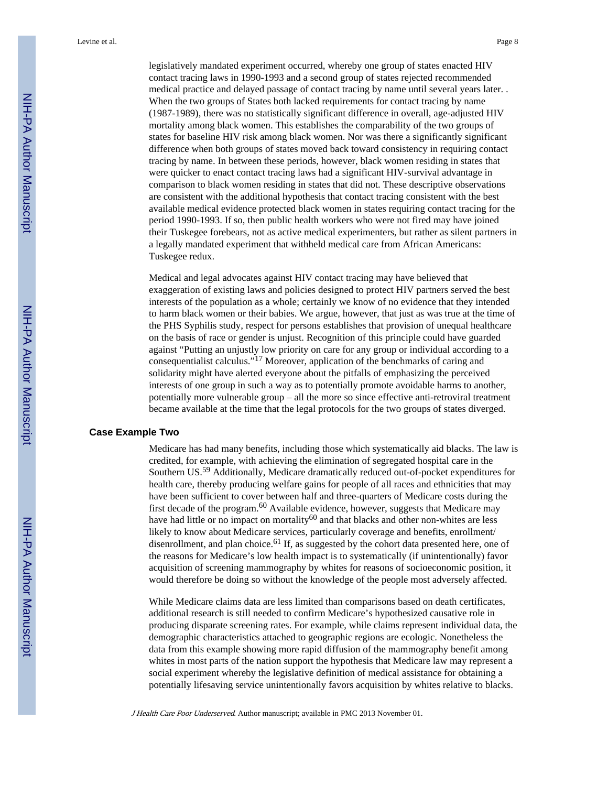legislatively mandated experiment occurred, whereby one group of states enacted HIV contact tracing laws in 1990-1993 and a second group of states rejected recommended medical practice and delayed passage of contact tracing by name until several years later. . When the two groups of States both lacked requirements for contact tracing by name (1987-1989), there was no statistically significant difference in overall, age-adjusted HIV mortality among black women. This establishes the comparability of the two groups of states for baseline HIV risk among black women. Nor was there a significantly significant difference when both groups of states moved back toward consistency in requiring contact tracing by name. In between these periods, however, black women residing in states that were quicker to enact contact tracing laws had a significant HIV-survival advantage in comparison to black women residing in states that did not. These descriptive observations are consistent with the additional hypothesis that contact tracing consistent with the best available medical evidence protected black women in states requiring contact tracing for the period 1990-1993. If so, then public health workers who were not fired may have joined their Tuskegee forebears, not as active medical experimenters, but rather as silent partners in a legally mandated experiment that withheld medical care from African Americans: Tuskegee redux.

Medical and legal advocates against HIV contact tracing may have believed that exaggeration of existing laws and policies designed to protect HIV partners served the best interests of the population as a whole; certainly we know of no evidence that they intended to harm black women or their babies. We argue, however, that just as was true at the time of the PHS Syphilis study, respect for persons establishes that provision of unequal healthcare on the basis of race or gender is unjust. Recognition of this principle could have guarded against "Putting an unjustly low priority on care for any group or individual according to a consequentialist calculus."17 Moreover, application of the benchmarks of caring and solidarity might have alerted everyone about the pitfalls of emphasizing the perceived interests of one group in such a way as to potentially promote avoidable harms to another, potentially more vulnerable group – all the more so since effective anti-retroviral treatment became available at the time that the legal protocols for the two groups of states diverged.

#### **Case Example Two**

Medicare has had many benefits, including those which systematically aid blacks. The law is credited, for example, with achieving the elimination of segregated hospital care in the Southern US.59 Additionally, Medicare dramatically reduced out-of-pocket expenditures for health care, thereby producing welfare gains for people of all races and ethnicities that may have been sufficient to cover between half and three-quarters of Medicare costs during the first decade of the program.<sup>60</sup> Available evidence, however, suggests that Medicare may have had little or no impact on mortality $60$  and that blacks and other non-whites are less likely to know about Medicare services, particularly coverage and benefits, enrollment/ disenrollment, and plan choice.<sup>61</sup> If, as suggested by the cohort data presented here, one of the reasons for Medicare's low health impact is to systematically (if unintentionally) favor acquisition of screening mammography by whites for reasons of socioeconomic position, it would therefore be doing so without the knowledge of the people most adversely affected.

While Medicare claims data are less limited than comparisons based on death certificates, additional research is still needed to confirm Medicare's hypothesized causative role in producing disparate screening rates. For example, while claims represent individual data, the demographic characteristics attached to geographic regions are ecologic. Nonetheless the data from this example showing more rapid diffusion of the mammography benefit among whites in most parts of the nation support the hypothesis that Medicare law may represent a social experiment whereby the legislative definition of medical assistance for obtaining a potentially lifesaving service unintentionally favors acquisition by whites relative to blacks.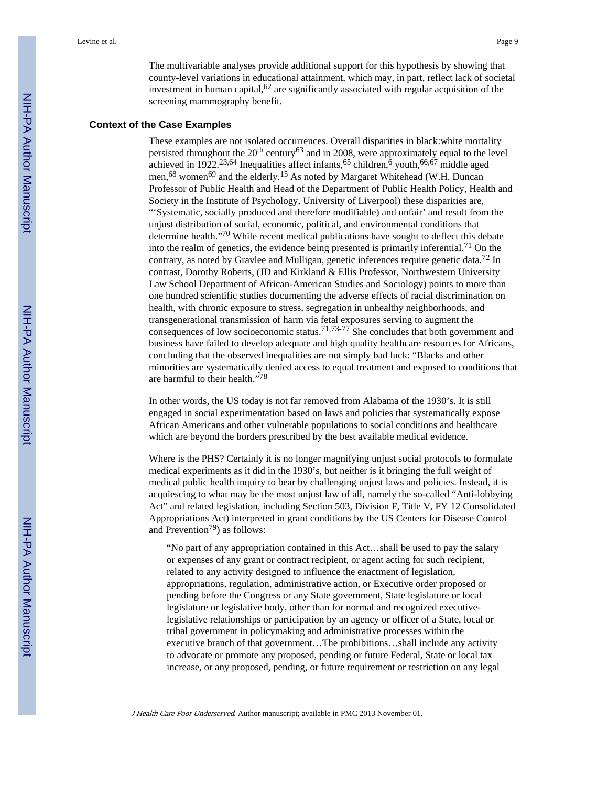The multivariable analyses provide additional support for this hypothesis by showing that county-level variations in educational attainment, which may, in part, reflect lack of societal investment in human capital,  $62$  are significantly associated with regular acquisition of the screening mammography benefit.

#### **Context of the Case Examples**

These examples are not isolated occurrences. Overall disparities in black:white mortality persisted throughout the  $20^{th}$  century<sup>63</sup> and in 2008, were approximately equal to the level achieved in 1922.<sup>23,64</sup> Inequalities affect infants, <sup>65</sup> children, <sup>6</sup> youth, <sup>66,67</sup> middle aged men,<sup>68</sup> women<sup>69</sup> and the elderly.<sup>15</sup> As noted by Margaret Whitehead (W.H. Duncan Professor of Public Health and Head of the Department of Public Health Policy, Health and Society in the Institute of Psychology, University of Liverpool) these disparities are, "'Systematic, socially produced and therefore modifiable) and unfair' and result from the unjust distribution of social, economic, political, and environmental conditions that determine health."70 While recent medical publications have sought to deflect this debate into the realm of genetics, the evidence being presented is primarily inferential.<sup>71</sup> On the contrary, as noted by Gravlee and Mulligan, genetic inferences require genetic data.72 In contrast, Dorothy Roberts, (JD and Kirkland & Ellis Professor, Northwestern University Law School Department of African-American Studies and Sociology) points to more than one hundred scientific studies documenting the adverse effects of racial discrimination on health, with chronic exposure to stress, segregation in unhealthy neighborhoods, and transgenerational transmission of harm via fetal exposures serving to augment the consequences of low socioeconomic status.<sup>71,73-77</sup> She concludes that both government and business have failed to develop adequate and high quality healthcare resources for Africans, concluding that the observed inequalities are not simply bad luck: "Blacks and other minorities are systematically denied access to equal treatment and exposed to conditions that are harmful to their health."<sup>78</sup>

In other words, the US today is not far removed from Alabama of the 1930's. It is still engaged in social experimentation based on laws and policies that systematically expose African Americans and other vulnerable populations to social conditions and healthcare which are beyond the borders prescribed by the best available medical evidence.

Where is the PHS? Certainly it is no longer magnifying unjust social protocols to formulate medical experiments as it did in the 1930's, but neither is it bringing the full weight of medical public health inquiry to bear by challenging unjust laws and policies. Instead, it is acquiescing to what may be the most unjust law of all, namely the so-called "Anti-lobbying Act" and related legislation, including Section 503, Division F, Title V, FY 12 Consolidated Appropriations Act) interpreted in grant conditions by the US Centers for Disease Control and Prevention<sup>79</sup>) as follows:

"No part of any appropriation contained in this Act…shall be used to pay the salary or expenses of any grant or contract recipient, or agent acting for such recipient, related to any activity designed to influence the enactment of legislation, appropriations, regulation, administrative action, or Executive order proposed or pending before the Congress or any State government, State legislature or local legislature or legislative body, other than for normal and recognized executivelegislative relationships or participation by an agency or officer of a State, local or tribal government in policymaking and administrative processes within the executive branch of that government…The prohibitions…shall include any activity to advocate or promote any proposed, pending or future Federal, State or local tax increase, or any proposed, pending, or future requirement or restriction on any legal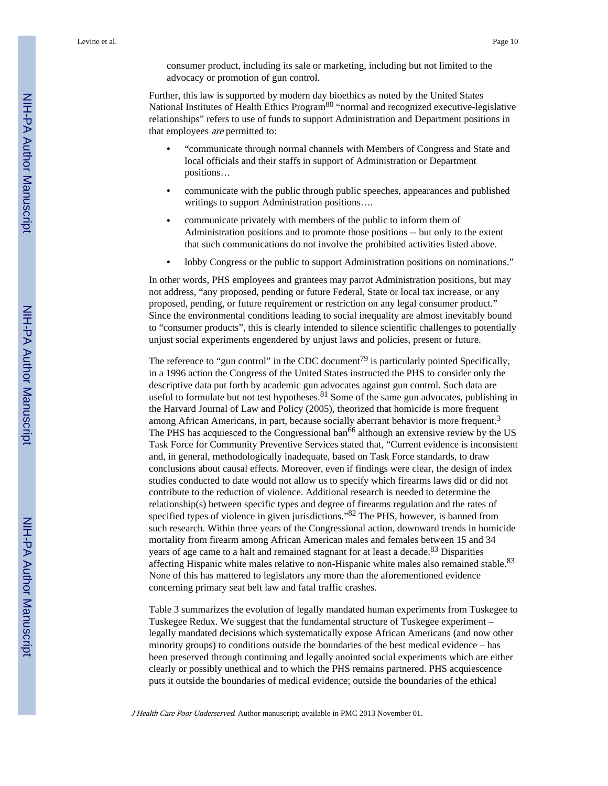consumer product, including its sale or marketing, including but not limited to the advocacy or promotion of gun control.

Further, this law is supported by modern day bioethics as noted by the United States National Institutes of Health Ethics Program<sup>80</sup> "normal and recognized executive-legislative relationships" refers to use of funds to support Administration and Department positions in that employees are permitted to:

- **•** "communicate through normal channels with Members of Congress and State and local officials and their staffs in support of Administration or Department positions…
- **•** communicate with the public through public speeches, appearances and published writings to support Administration positions….
- **•** communicate privately with members of the public to inform them of Administration positions and to promote those positions -- but only to the extent that such communications do not involve the prohibited activities listed above.
- lobby Congress or the public to support Administration positions on nominations."

In other words, PHS employees and grantees may parrot Administration positions, but may not address, "any proposed, pending or future Federal, State or local tax increase, or any proposed, pending, or future requirement or restriction on any legal consumer product." Since the environmental conditions leading to social inequality are almost inevitably bound to "consumer products", this is clearly intended to silence scientific challenges to potentially unjust social experiments engendered by unjust laws and policies, present or future.

The reference to "gun control" in the CDC document<sup>79</sup> is particularly pointed Specifically, in a 1996 action the Congress of the United States instructed the PHS to consider only the descriptive data put forth by academic gun advocates against gun control. Such data are useful to formulate but not test hypotheses. $81$  Some of the same gun advocates, publishing in the Harvard Journal of Law and Policy (2005), theorized that homicide is more frequent among African Americans, in part, because socially aberrant behavior is more frequent.<sup>3</sup> The PHS has acquiesced to the Congressional ban<sup>66</sup> although an extensive review by the US Task Force for Community Preventive Services stated that, "Current evidence is inconsistent and, in general, methodologically inadequate, based on Task Force standards, to draw conclusions about causal effects. Moreover, even if findings were clear, the design of index studies conducted to date would not allow us to specify which firearms laws did or did not contribute to the reduction of violence. Additional research is needed to determine the relationship(s) between specific types and degree of firearms regulation and the rates of specified types of violence in given jurisdictions."<sup>82</sup> The PHS, however, is banned from such research. Within three years of the Congressional action, downward trends in homicide mortality from firearm among African American males and females between 15 and 34 years of age came to a halt and remained stagnant for at least a decade.<sup>83</sup> Disparities affecting Hispanic white males relative to non-Hispanic white males also remained stable.<sup>83</sup> None of this has mattered to legislators any more than the aforementioned evidence concerning primary seat belt law and fatal traffic crashes.

Table 3 summarizes the evolution of legally mandated human experiments from Tuskegee to Tuskegee Redux. We suggest that the fundamental structure of Tuskegee experiment – legally mandated decisions which systematically expose African Americans (and now other minority groups) to conditions outside the boundaries of the best medical evidence – has been preserved through continuing and legally anointed social experiments which are either clearly or possibly unethical and to which the PHS remains partnered. PHS acquiescence puts it outside the boundaries of medical evidence; outside the boundaries of the ethical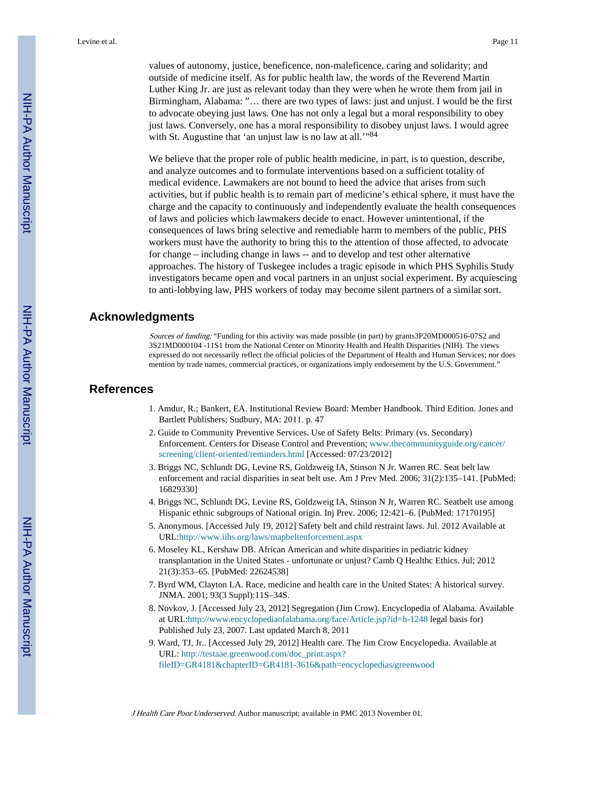values of autonomy, justice, beneficence, non-maleficence, caring and solidarity; and outside of medicine itself. As for public health law, the words of the Reverend Martin Luther King Jr. are just as relevant today than they were when he wrote them from jail in Birmingham, Alabama: "… there are two types of laws: just and unjust. I would be the first to advocate obeying just laws. One has not only a legal but a moral responsibility to obey just laws. Conversely, one has a moral responsibility to disobey unjust laws. I would agree with St. Augustine that 'an unjust law is no law at all."<sup>84</sup>

We believe that the proper role of public health medicine, in part, is to question, describe, and analyze outcomes and to formulate interventions based on a sufficient totality of medical evidence. Lawmakers are not bound to heed the advice that arises from such activities, but if public health is to remain part of medicine's ethical sphere, it must have the charge and the capacity to continuously and independently evaluate the health consequences of laws and policies which lawmakers decide to enact. However unintentional, if the consequences of laws bring selective and remediable harm to members of the public, PHS workers must have the authority to bring this to the attention of those affected, to advocate for change – including change in laws -- and to develop and test other alternative approaches. The history of Tuskegee includes a tragic episode in which PHS Syphilis Study investigators became open and vocal partners in an unjust social experiment. By acquiescing to anti-lobbying law, PHS workers of today may become silent partners of a similar sort.

#### **Acknowledgments**

Sources of funding: "Funding for this activity was made possible (in part) by grants3P20MD000516-07S2 and 3S21MD000104 -11S1 from the National Center on Minority Health and Health Disparities (NIH). The views expressed do not necessarily reflect the official policies of the Department of Health and Human Services; nor does mention by trade names, commercial practices, or organizations imply endorsement by the U.S. Government."

#### **References**

- 1. Amdur, R.; Bankert, EA. Institutional Review Board: Member Handbook. Third Edition. Jones and Bartlett Publishers; Sudbury, MA: 2011. p. 47
- 2. Guide to Community Preventive Services. Use of Safety Belts: Primary (vs. Secondary) Enforcement. Centers for Disease Control and Prevention; [www.thecommunityguide.org/cancer/](http://www.thecommunityguide.org/cancer/screening/client-oriented/reminders.html) [screening/client-oriented/reminders.html](http://www.thecommunityguide.org/cancer/screening/client-oriented/reminders.html) [Accessed: 07/23/2012]
- 3. Briggs NC, Schlundt DG, Levine RS, Goldzweig IA, Stinson N Jr. Warren RC. Seat belt law enforcement and racial disparities in seat belt use. Am J Prev Med. 2006; 31(2):135–141. [PubMed: 16829330]
- 4. Briggs NC, Schlundt DG, Levine RS, Goldzweig IA, Stinson N Jr, Warren RC. Seatbelt use among Hispanic ethnic subgroups of National origin. Inj Prev. 2006; 12:421–6. [PubMed: 17170195]
- 5. Anonymous. [Accessed July 19, 2012] Safety belt and child restraint laws. Jul. 2012 Available at URL:<http://www.iihs.org/laws/mapbeltenforcement.aspx>
- 6. Moseley KL, Kershaw DB. African American and white disparities in pediatric kidney transplantation in the United States - unfortunate or unjust? Camb Q Healthc Ethics. Jul; 2012 21(3):353–65. [PubMed: 22624538]
- 7. Byrd WM, Clayton LA. Race, medicine and health care in the United States: A historical survey. JNMA. 2001; 93(3 Suppl):11S–34S.
- 8. Novkov, J. [Accessed July 23, 2012] Segregation (Jim Crow). Encyclopedia of Alabama. Available at URL[:http://www.encyclopediaofalabama.org/face/Article.jsp?id=h-1248](http://www.encyclopediaofalabama.org/face/Article.jsp?id=h-1248) legal basis for) Published July 23, 2007. Last updated March 8, 2011
- 9. Ward, TJ, Jr.. [Accessed July 29, 2012] Health care. The Jim Crow Encyclopedia. Available at URL: [http://testaae.greenwood.com/doc\\_print.aspx?](http://testaae.greenwood.com/doc_print.aspx?fileID=GR4181&chapterID=GR4181-3616&path=encyclopedias/greenwood) [fileID=GR4181&chapterID=GR4181-3616&path=encyclopedias/greenwood](http://testaae.greenwood.com/doc_print.aspx?fileID=GR4181&chapterID=GR4181-3616&path=encyclopedias/greenwood)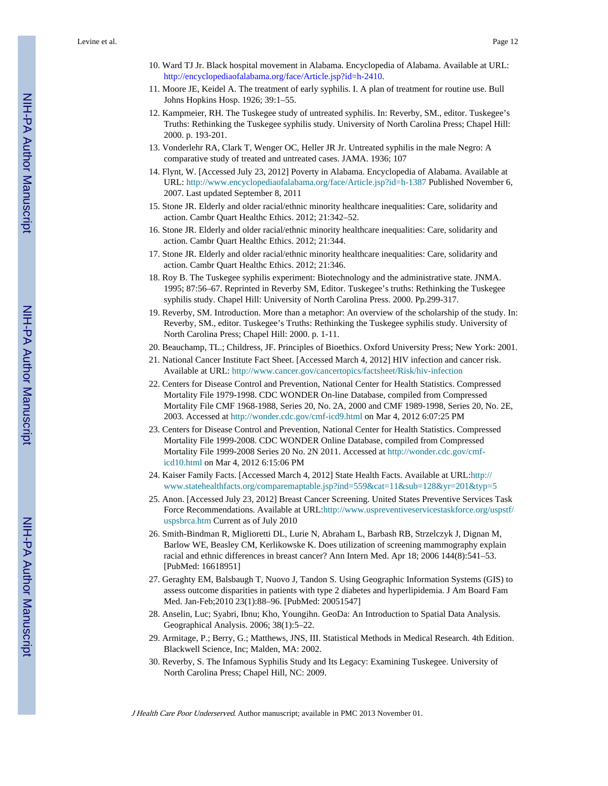- 10. Ward TJ Jr. Black hospital movement in Alabama. Encyclopedia of Alabama. Available at URL: <http://encyclopediaofalabama.org/face/Article.jsp?id=h-2410>.
- 11. Moore JE, Keidel A. The treatment of early syphilis. I. A plan of treatment for routine use. Bull Johns Hopkins Hosp. 1926; 39:1–55.
- 12. Kampmeier, RH. The Tuskegee study of untreated syphilis. In: Reverby, SM., editor. Tuskegee's Truths: Rethinking the Tuskegee syphilis study. University of North Carolina Press; Chapel Hill: 2000. p. 193-201.
- 13. Vonderlehr RA, Clark T, Wenger OC, Heller JR Jr. Untreated syphilis in the male Negro: A comparative study of treated and untreated cases. JAMA. 1936; 107
- 14. Flynt, W. [Accessed July 23, 2012] Poverty in Alabama. Encyclopedia of Alabama. Available at URL: <http://www.encyclopediaofalabama.org/face/Article.jsp?id=h-1387>Published November 6, 2007. Last updated September 8, 2011
- 15. Stone JR. Elderly and older racial/ethnic minority healthcare inequalities: Care, solidarity and action. Cambr Quart Healthc Ethics. 2012; 21:342–52.
- 16. Stone JR. Elderly and older racial/ethnic minority healthcare inequalities: Care, solidarity and action. Cambr Quart Healthc Ethics. 2012; 21:344.
- 17. Stone JR. Elderly and older racial/ethnic minority healthcare inequalities: Care, solidarity and action. Cambr Quart Healthc Ethics. 2012; 21:346.
- 18. Roy B. The Tuskegee syphilis experiment: Biotechnology and the administrative state. JNMA. 1995; 87:56–67. Reprinted in Reverby SM, Editor. Tuskegee's truths: Rethinking the Tuskegee syphilis study. Chapel Hill: University of North Carolina Press. 2000. Pp.299-317.
- 19. Reverby, SM. Introduction. More than a metaphor: An overview of the scholarship of the study. In: Reverby, SM., editor. Tuskegee's Truths: Rethinking the Tuskegee syphilis study. University of North Carolina Press; Chapel Hill: 2000. p. 1-11.
- 20. Beauchamp, TL.; Childress, JF. Principles of Bioethics. Oxford University Press; New York: 2001.
- 21. National Cancer Institute Fact Sheet. [Accessed March 4, 2012] HIV infection and cancer risk. Available at URL: <http://www.cancer.gov/cancertopics/factsheet/Risk/hiv-infection>
- 22. Centers for Disease Control and Prevention, National Center for Health Statistics. Compressed Mortality File 1979-1998. CDC WONDER On-line Database, compiled from Compressed Mortality File CMF 1968-1988, Series 20, No. 2A, 2000 and CMF 1989-1998, Series 20, No. 2E, 2003. Accessed at<http://wonder.cdc.gov/cmf-icd9.html> on Mar 4, 2012 6:07:25 PM
- 23. Centers for Disease Control and Prevention, National Center for Health Statistics. Compressed Mortality File 1999-2008. CDC WONDER Online Database, compiled from Compressed Mortality File 1999-2008 Series 20 No. 2N 2011. Accessed at [http://wonder.cdc.gov/cmf](http://wonder.cdc.gov/cmf-icd10.html)[icd10.html](http://wonder.cdc.gov/cmf-icd10.html) on Mar 4, 2012 6:15:06 PM
- 24. Kaiser Family Facts. [Accessed March 4, 2012] State Health Facts. Available at URL[:http://](http://www.statehealthfacts.org/comparemaptable.jsp?ind=559&cat=11&sub=128&yr=201&typ=5) [www.statehealthfacts.org/comparemaptable.jsp?ind=559&cat=11&sub=128&yr=201&typ=5](http://www.statehealthfacts.org/comparemaptable.jsp?ind=559&cat=11&sub=128&yr=201&typ=5)
- 25. Anon. [Accessed July 23, 2012] Breast Cancer Screening. United States Preventive Services Task Force Recommendations. Available at URL:[http://www.uspreventiveservicestaskforce.org/uspstf/](http://www.uspreventiveservicestaskforce.org/uspstf/uspsbrca.htm) [uspsbrca.htm](http://www.uspreventiveservicestaskforce.org/uspstf/uspsbrca.htm) Current as of July 2010
- 26. Smith-Bindman R, Miglioretti DL, Lurie N, Abraham L, Barbash RB, Strzelczyk J, Dignan M, Barlow WE, Beasley CM, Kerlikowske K. Does utilization of screening mammography explain racial and ethnic differences in breast cancer? Ann Intern Med. Apr 18; 2006 144(8):541–53. [PubMed: 16618951]
- 27. Geraghty EM, Balsbaugh T, Nuovo J, Tandon S. Using Geographic Information Systems (GIS) to assess outcome disparities in patients with type 2 diabetes and hyperlipidemia. J Am Board Fam Med. Jan-Feb;2010 23(1):88–96. [PubMed: 20051547]
- 28. Anselin, Luc; Syabri, Ibnu; Kho, Youngihn. GeoDa: An Introduction to Spatial Data Analysis. Geographical Analysis. 2006; 38(1):5–22.
- 29. Armitage, P.; Berry, G.; Matthews, JNS, III. Statistical Methods in Medical Research. 4th Edition. Blackwell Science, Inc; Malden, MA: 2002.
- 30. Reverby, S. The Infamous Syphilis Study and Its Legacy: Examining Tuskegee. University of North Carolina Press; Chapel Hill, NC: 2009.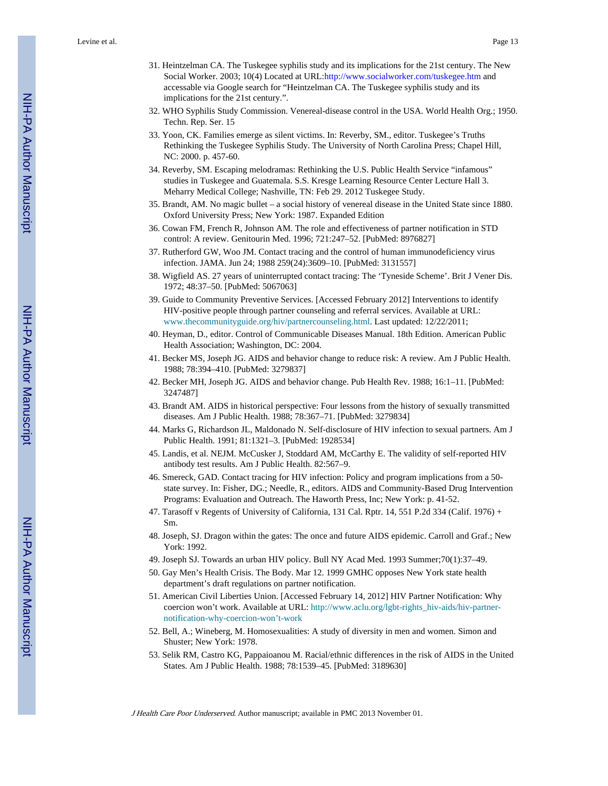- 31. Heintzelman CA. The Tuskegee syphilis study and its implications for the 21st century. The New Social Worker. 2003; 10(4) Located at URL:<http://www.socialworker.com/tuskegee.htm> and accessable via Google search for "Heintzelman CA. The Tuskegee syphilis study and its implications for the 21st century.".
- 32. WHO Syphilis Study Commission. Venereal-disease control in the USA. World Health Org.; 1950. Techn. Rep. Ser. 15
- 33. Yoon, CK. Families emerge as silent victims. In: Reverby, SM., editor. Tuskegee's Truths Rethinking the Tuskegee Syphilis Study. The University of North Carolina Press; Chapel Hill, NC: 2000. p. 457-60.
- 34. Reverby, SM. Escaping melodramas: Rethinking the U.S. Public Health Service "infamous" studies in Tuskegee and Guatemala. S.S. Kresge Learning Resource Center Lecture Hall 3. Meharry Medical College; Nashville, TN: Feb 29. 2012 Tuskegee Study.
- 35. Brandt, AM. No magic bullet a social history of venereal disease in the United State since 1880. Oxford University Press; New York: 1987. Expanded Edition
- 36. Cowan FM, French R, Johnson AM. The role and effectiveness of partner notification in STD control: A review. Genitourin Med. 1996; 721:247–52. [PubMed: 8976827]
- 37. Rutherford GW, Woo JM. Contact tracing and the control of human immunodeficiency virus infection. JAMA. Jun 24; 1988 259(24):3609–10. [PubMed: 3131557]
- 38. Wigfield AS. 27 years of uninterrupted contact tracing: The 'Tyneside Scheme'. Brit J Vener Dis. 1972; 48:37–50. [PubMed: 5067063]
- 39. Guide to Community Preventive Services. [Accessed February 2012] Interventions to identify HIV-positive people through partner counseling and referral services. Available at URL: [www.thecommunityguide.org/hiv/partnercounseling.html.](http://www.thecommunityguide.org/hiv/partnercounseling.html) Last updated: 12/22/2011;
- 40. Heyman, D., editor. Control of Communicable Diseases Manual. 18th Edition. American Public Health Association; Washington, DC: 2004.
- 41. Becker MS, Joseph JG. AIDS and behavior change to reduce risk: A review. Am J Public Health. 1988; 78:394–410. [PubMed: 3279837]
- 42. Becker MH, Joseph JG. AIDS and behavior change. Pub Health Rev. 1988; 16:1–11. [PubMed: 3247487]
- 43. Brandt AM. AIDS in historical perspective: Four lessons from the history of sexually transmitted diseases. Am J Public Health. 1988; 78:367–71. [PubMed: 3279834]
- 44. Marks G, Richardson JL, Maldonado N. Self-disclosure of HIV infection to sexual partners. Am J Public Health. 1991; 81:1321–3. [PubMed: 1928534]
- 45. Landis, et al. NEJM. McCusker J, Stoddard AM, McCarthy E. The validity of self-reported HIV antibody test results. Am J Public Health. 82:567–9.
- 46. Smereck, GAD. Contact tracing for HIV infection: Policy and program implications from a 50 state survey. In: Fisher, DG.; Needle, R., editors. AIDS and Community-Based Drug Intervention Programs: Evaluation and Outreach. The Haworth Press, Inc; New York: p. 41-52.
- 47. Tarasoff v Regents of University of California, 131 Cal. Rptr. 14, 551 P.2d 334 (Calif. 1976) + Sm.
- 48. Joseph, SJ. Dragon within the gates: The once and future AIDS epidemic. Carroll and Graf.; New York: 1992.
- 49. Joseph SJ. Towards an urban HIV policy. Bull NY Acad Med. 1993 Summer;70(1):37–49.
- 50. Gay Men's Health Crisis. The Body. Mar 12. 1999 GMHC opposes New York state health department's draft regulations on partner notification.
- 51. American Civil Liberties Union. [Accessed February 14, 2012] HIV Partner Notification: Why coercion won't work. Available at URL: [http://www.aclu.org/lgbt-rights\\_hiv-aids/hiv-partner](http://www.aclu.org/lgbt-rights_hiv-aids/hiv-partner-notification-why-coercion-wont-work)[notification-why-coercion-won't-work](http://www.aclu.org/lgbt-rights_hiv-aids/hiv-partner-notification-why-coercion-wont-work)
- 52. Bell, A.; Wineberg, M. Homosexualities: A study of diversity in men and women. Simon and Shuster; New York: 1978.
- 53. Selik RM, Castro KG, Pappaioanou M. Racial/ethnic differences in the risk of AIDS in the United States. Am J Public Health. 1988; 78:1539–45. [PubMed: 3189630]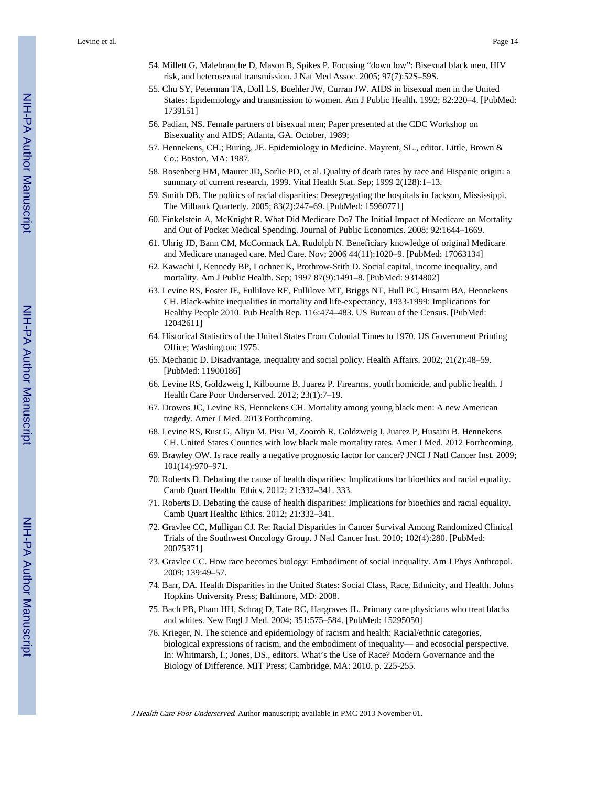- 54. Millett G, Malebranche D, Mason B, Spikes P. Focusing "down low": Bisexual black men, HIV risk, and heterosexual transmission. J Nat Med Assoc. 2005; 97(7):52S–59S.
- 55. Chu SY, Peterman TA, Doll LS, Buehler JW, Curran JW. AIDS in bisexual men in the United States: Epidemiology and transmission to women. Am J Public Health. 1992; 82:220–4. [PubMed: 1739151]
- 56. Padian, NS. Female partners of bisexual men; Paper presented at the CDC Workshop on Bisexuality and AIDS; Atlanta, GA. October, 1989;
- 57. Hennekens, CH.; Buring, JE. Epidemiology in Medicine. Mayrent, SL., editor. Little, Brown & Co.; Boston, MA: 1987.
- 58. Rosenberg HM, Maurer JD, Sorlie PD, et al. Quality of death rates by race and Hispanic origin: a summary of current research, 1999. Vital Health Stat. Sep; 1999 2(128):1–13.
- 59. Smith DB. The politics of racial disparities: Desegregating the hospitals in Jackson, Mississippi. The Milbank Quarterly. 2005; 83(2):247–69. [PubMed: 15960771]
- 60. Finkelstein A, McKnight R. What Did Medicare Do? The Initial Impact of Medicare on Mortality and Out of Pocket Medical Spending. Journal of Public Economics. 2008; 92:1644–1669.
- 61. Uhrig JD, Bann CM, McCormack LA, Rudolph N. Beneficiary knowledge of original Medicare and Medicare managed care. Med Care. Nov; 2006 44(11):1020–9. [PubMed: 17063134]
- 62. Kawachi I, Kennedy BP, Lochner K, Prothrow-Stith D. Social capital, income inequality, and mortality. Am J Public Health. Sep; 1997 87(9):1491–8. [PubMed: 9314802]
- 63. Levine RS, Foster JE, Fullilove RE, Fullilove MT, Briggs NT, Hull PC, Husaini BA, Hennekens CH. Black-white inequalities in mortality and life-expectancy, 1933-1999: Implications for Healthy People 2010. Pub Health Rep. 116:474–483. US Bureau of the Census. [PubMed: 12042611]
- 64. Historical Statistics of the United States From Colonial Times to 1970. US Government Printing Office; Washington: 1975.
- 65. Mechanic D. Disadvantage, inequality and social policy. Health Affairs. 2002; 21(2):48–59. [PubMed: 11900186]
- 66. Levine RS, Goldzweig I, Kilbourne B, Juarez P. Firearms, youth homicide, and public health. J Health Care Poor Underserved. 2012; 23(1):7–19.
- 67. Drowos JC, Levine RS, Hennekens CH. Mortality among young black men: A new American tragedy. Amer J Med. 2013 Forthcoming.
- 68. Levine RS, Rust G, Aliyu M, Pisu M, Zoorob R, Goldzweig I, Juarez P, Husaini B, Hennekens CH. United States Counties with low black male mortality rates. Amer J Med. 2012 Forthcoming.
- 69. Brawley OW. Is race really a negative prognostic factor for cancer? JNCI J Natl Cancer Inst. 2009; 101(14):970–971.
- 70. Roberts D. Debating the cause of health disparities: Implications for bioethics and racial equality. Camb Quart Healthc Ethics. 2012; 21:332–341. 333.
- 71. Roberts D. Debating the cause of health disparities: Implications for bioethics and racial equality. Camb Quart Healthc Ethics. 2012; 21:332–341.
- 72. Gravlee CC, Mulligan CJ. Re: Racial Disparities in Cancer Survival Among Randomized Clinical Trials of the Southwest Oncology Group. J Natl Cancer Inst. 2010; 102(4):280. [PubMed: 20075371]
- 73. Gravlee CC. How race becomes biology: Embodiment of social inequality. Am J Phys Anthropol. 2009; 139:49–57.
- 74. Barr, DA. Health Disparities in the United States: Social Class, Race, Ethnicity, and Health. Johns Hopkins University Press; Baltimore, MD: 2008.
- 75. Bach PB, Pham HH, Schrag D, Tate RC, Hargraves JL. Primary care physicians who treat blacks and whites. New Engl J Med. 2004; 351:575–584. [PubMed: 15295050]
- 76. Krieger, N. The science and epidemiology of racism and health: Racial/ethnic categories, biological expressions of racism, and the embodiment of inequality— and ecosocial perspective. In: Whitmarsh, I.; Jones, DS., editors. What's the Use of Race? Modern Governance and the Biology of Difference. MIT Press; Cambridge, MA: 2010. p. 225-255.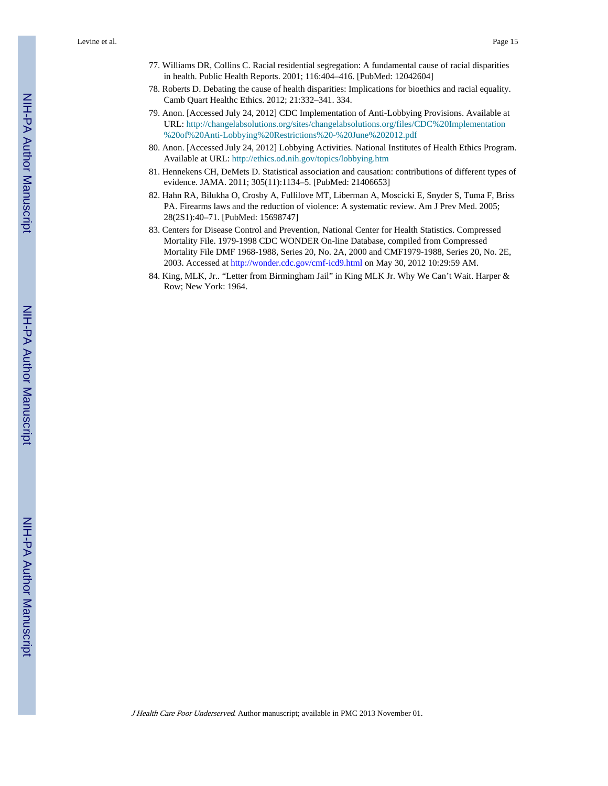- 77. Williams DR, Collins C. Racial residential segregation: A fundamental cause of racial disparities in health. Public Health Reports. 2001; 116:404–416. [PubMed: 12042604]
- 78. Roberts D. Debating the cause of health disparities: Implications for bioethics and racial equality. Camb Quart Healthc Ethics. 2012; 21:332–341. 334.
- 79. Anon. [Accessed July 24, 2012] CDC Implementation of Anti-Lobbying Provisions. Available at URL: [http://changelabsolutions.org/sites/changelabsolutions.org/files/CDC%20Implementation](http://changelabsolutions.org/sites/changelabsolutions.org/files/CDC%20Implementation%20of%20Anti-Lobbying%20Restrictions%20-%20June%202012.pdf) [%20of%20Anti-Lobbying%20Restrictions%20-%20June%202012.pdf](http://changelabsolutions.org/sites/changelabsolutions.org/files/CDC%20Implementation%20of%20Anti-Lobbying%20Restrictions%20-%20June%202012.pdf)
- 80. Anon. [Accessed July 24, 2012] Lobbying Activities. National Institutes of Health Ethics Program. Available at URL: <http://ethics.od.nih.gov/topics/lobbying.htm>
- 81. Hennekens CH, DeMets D. Statistical association and causation: contributions of different types of evidence. JAMA. 2011; 305(11):1134–5. [PubMed: 21406653]
- 82. Hahn RA, Bilukha O, Crosby A, Fullilove MT, Liberman A, Moscicki E, Snyder S, Tuma F, Briss PA. Firearms laws and the reduction of violence: A systematic review. Am J Prev Med. 2005; 28(2S1):40–71. [PubMed: 15698747]
- 83. Centers for Disease Control and Prevention, National Center for Health Statistics. Compressed Mortality File. 1979-1998 CDC WONDER On-line Database, compiled from Compressed Mortality File DMF 1968-1988, Series 20, No. 2A, 2000 and CMF1979-1988, Series 20, No. 2E, 2003. Accessed at<http://wonder.cdc.gov/cmf-icd9.html> on May 30, 2012 10:29:59 AM.
- 84. King, MLK, Jr.. "Letter from Birmingham Jail" in King MLK Jr. Why We Can't Wait. Harper & Row; New York: 1964.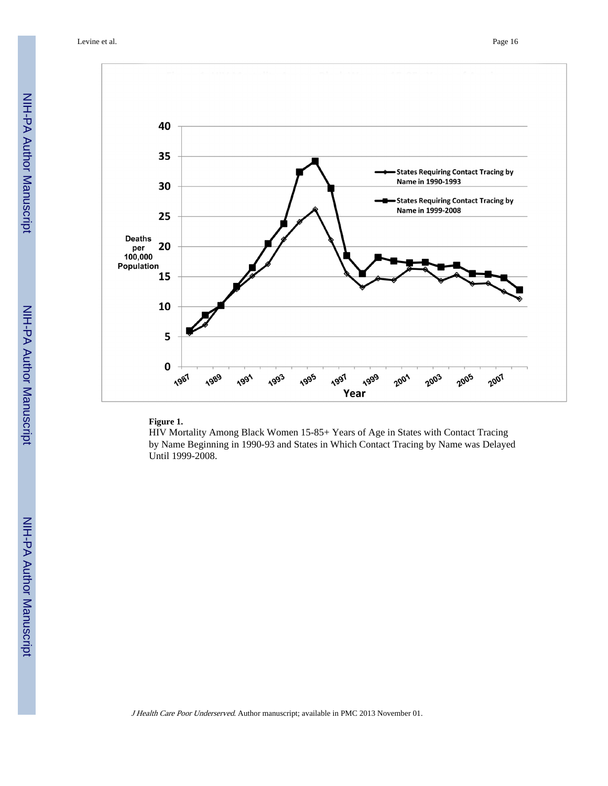

#### **Figure 1.**

HIV Mortality Among Black Women 15-85+ Years of Age in States with Contact Tracing by Name Beginning in 1990-93 and States in Which Contact Tracing by Name was Delayed Until 1999-2008.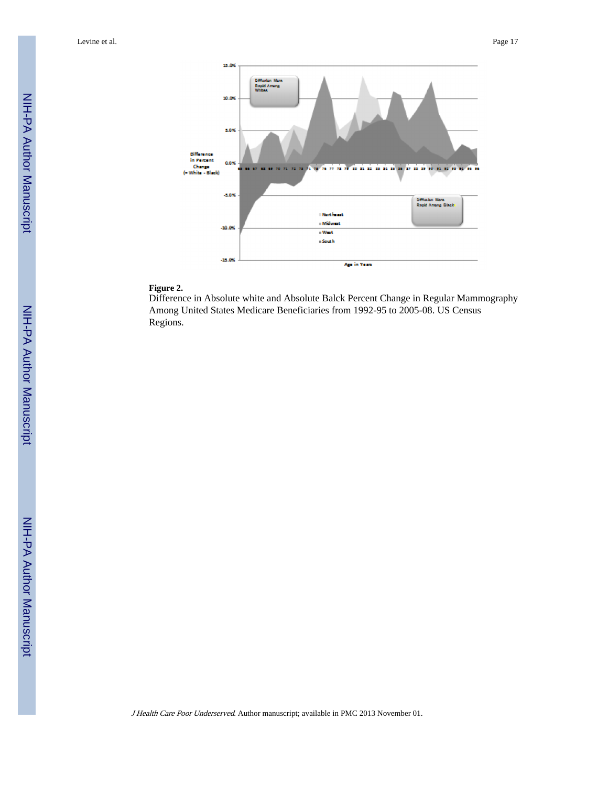

#### **Figure 2.**

Difference in Absolute white and Absolute Balck Percent Change in Regular Mammography Among United States Medicare Beneficiaries from 1992-95 to 2005-08. US Census Regions.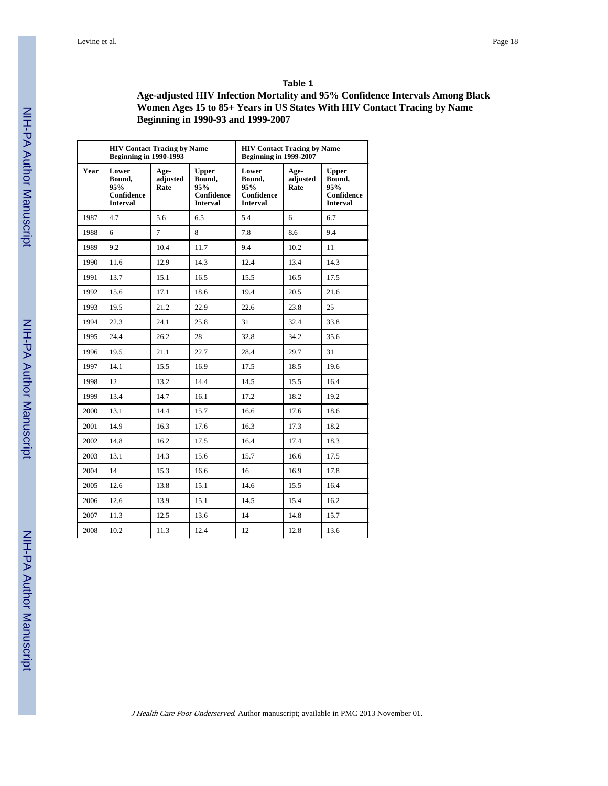#### **Table 1**

#### **Age-adjusted HIV Infection Mortality and 95% Confidence Intervals Among Black Women Ages 15 to 85+ Years in US States With HIV Contact Tracing by Name Beginning in 1990-93 and 1999-2007**

|      | <b>HIV Contact Tracing by Name</b><br><b>Beginning in 1990-1993</b> |                          |                                                                | <b>HIV Contact Tracing by Name</b><br><b>Beginning in 1999-2007</b> |                          |                                                                |
|------|---------------------------------------------------------------------|--------------------------|----------------------------------------------------------------|---------------------------------------------------------------------|--------------------------|----------------------------------------------------------------|
| Year | Lower<br>Bound.<br>95%<br>Confidence<br><b>Interval</b>             | Age-<br>adjusted<br>Rate | <b>Upper</b><br>Bound,<br>95%<br>Confidence<br><b>Interval</b> | Lower<br>Bound.<br>95%<br>Confidence<br><b>Interval</b>             | Age-<br>adjusted<br>Rate | <b>Upper</b><br>Bound,<br>95%<br>Confidence<br><b>Interval</b> |
| 1987 | 4.7                                                                 | 5.6                      | 6.5                                                            | 5.4                                                                 | 6                        | 6.7                                                            |
| 1988 | 6                                                                   | $\overline{7}$           | 8                                                              | 7.8                                                                 | 8.6                      | 9.4                                                            |
| 1989 | 9.2                                                                 | 10.4                     | 11.7                                                           | 9.4                                                                 | 10.2                     | 11                                                             |
| 1990 | 11.6                                                                | 12.9                     | 14.3                                                           | 12.4                                                                | 13.4                     | 14.3                                                           |
| 1991 | 13.7                                                                | 15.1                     | 16.5                                                           | 15.5                                                                | 16.5                     | 17.5                                                           |
| 1992 | 15.6                                                                | 17.1                     | 18.6                                                           | 19.4                                                                | 20.5                     | 21.6                                                           |
| 1993 | 19.5                                                                | 21.2                     | 22.9                                                           | 22.6                                                                | 23.8                     | 25                                                             |
| 1994 | 22.3                                                                | 24.1                     | 25.8                                                           | 31                                                                  | 32.4                     | 33.8                                                           |
| 1995 | 24.4                                                                | 26.2                     | 28                                                             | 32.8                                                                | 34.2                     | 35.6                                                           |
| 1996 | 19.5                                                                | 21.1                     | 22.7                                                           | 28.4                                                                | 29.7                     | 31                                                             |
| 1997 | 14.1                                                                | 15.5                     | 16.9                                                           | 17.5                                                                | 18.5                     | 19.6                                                           |
| 1998 | 12                                                                  | 13.2                     | 14.4                                                           | 14.5                                                                | 15.5                     | 16.4                                                           |
| 1999 | 13.4                                                                | 14.7                     | 16.1                                                           | 17.2                                                                | 18.2                     | 19.2                                                           |
| 2000 | 13.1                                                                | 14.4                     | 15.7                                                           | 16.6                                                                | 17.6                     | 18.6                                                           |
| 2001 | 14.9                                                                | 16.3                     | 17.6                                                           | 16.3                                                                | 17.3                     | 18.2                                                           |
| 2002 | 14.8                                                                | 16.2                     | 17.5                                                           | 16.4                                                                | 17.4                     | 18.3                                                           |
| 2003 | 13.1                                                                | 14.3                     | 15.6                                                           | 15.7                                                                | 16.6                     | 17.5                                                           |
| 2004 | 14                                                                  | 15.3                     | 16.6                                                           | 16                                                                  | 16.9                     | 17.8                                                           |
| 2005 | 12.6                                                                | 13.8                     | 15.1                                                           | 14.6                                                                | 15.5                     | 16.4                                                           |
| 2006 | 12.6                                                                | 13.9                     | 15.1                                                           | 14.5                                                                | 15.4                     | 16.2                                                           |
| 2007 | 11.3                                                                | 12.5                     | 13.6                                                           | 14                                                                  | 14.8                     | 15.7                                                           |
| 2008 | 10.2                                                                | 11.3                     | 12.4                                                           | 12                                                                  | 12.8                     | 13.6                                                           |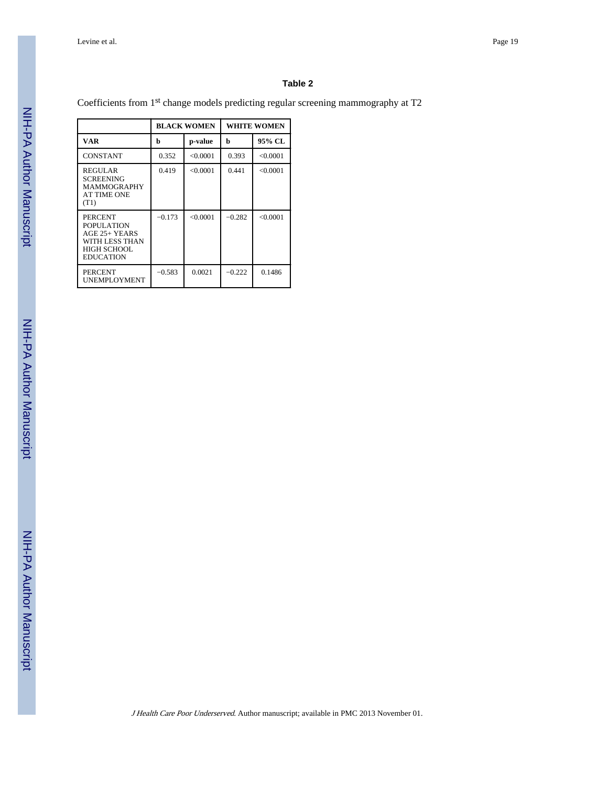#### **Table 2**

Coefficients from 1st change models predicting regular screening mammography at T2

|                                                                                              | <b>BLACK WOMEN</b> |          | <b>WHITE WOMEN</b> |          |  |
|----------------------------------------------------------------------------------------------|--------------------|----------|--------------------|----------|--|
| <b>VAR</b>                                                                                   | b                  | p-value  | h                  | 95% CL   |  |
| <b>CONSTANT</b>                                                                              | 0.352              | < 0.0001 | 0.393              | < 0.0001 |  |
| <b>REGULAR</b><br>SCREENING<br><b>MAMMOGRAPHY</b><br><b>AT TIME ONE</b><br>(T1)              | 0.419              | < 0.0001 | 0.441              | < 0.0001 |  |
| <b>PERCENT</b><br>POPULATION<br>$AGE 25+YEARS$<br>WITH LESS THAN<br>HIGH SCHOOL<br>EDUCATION | $-0.173$           | <0.0001  | $-0.282$           | < 0.0001 |  |
| <b>PERCENT</b><br>UNEMPLOYMENT                                                               | $-0.583$           | 0.0021   | $-0.222$           | 0.1486   |  |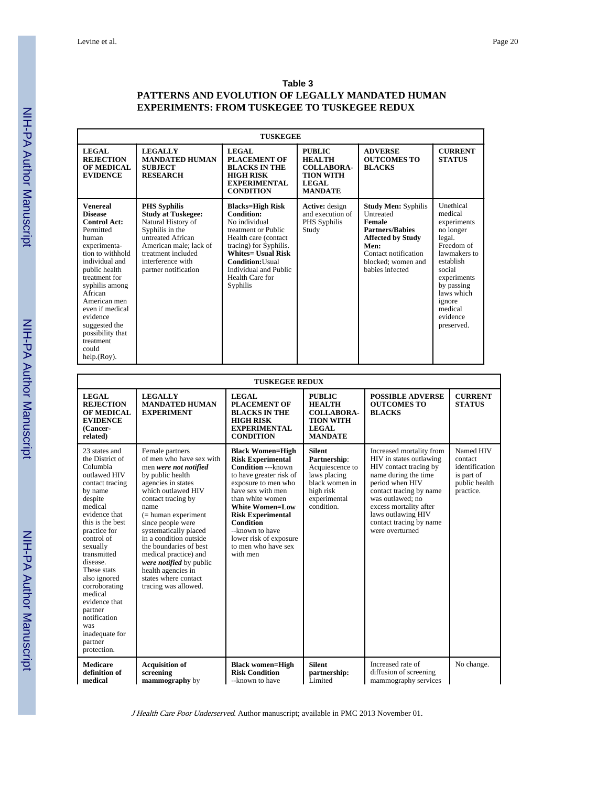| Table 3                                             |
|-----------------------------------------------------|
| PATTERNS AND EVOLUTION OF LEGALLY MANDATED HUMAN    |
| <b>EXPERIMENTS: FROM TUSKEGEE TO TUSKEGEE REDUX</b> |

|                                                                                                                                                                                                                                                                                                                                   |                                                                                                                                                                                                                                                                                                                                                                                                                          | <b>TUSKEGEE</b>                                                                                                                                                                                                                                                                                                                 |                                                                                                                               |                                                                                                                                                                                                                                                                       |                                                                                                                                                                                                           |                                                                                    |
|-----------------------------------------------------------------------------------------------------------------------------------------------------------------------------------------------------------------------------------------------------------------------------------------------------------------------------------|--------------------------------------------------------------------------------------------------------------------------------------------------------------------------------------------------------------------------------------------------------------------------------------------------------------------------------------------------------------------------------------------------------------------------|---------------------------------------------------------------------------------------------------------------------------------------------------------------------------------------------------------------------------------------------------------------------------------------------------------------------------------|-------------------------------------------------------------------------------------------------------------------------------|-----------------------------------------------------------------------------------------------------------------------------------------------------------------------------------------------------------------------------------------------------------------------|-----------------------------------------------------------------------------------------------------------------------------------------------------------------------------------------------------------|------------------------------------------------------------------------------------|
| <b>LEGAL</b><br><b>REJECTION</b><br><b>OF MEDICAL</b><br><b>EVIDENCE</b>                                                                                                                                                                                                                                                          | <b>LEGALLY</b><br><b>MANDATED HUMAN</b><br><b>SUBJECT</b><br><b>RESEARCH</b>                                                                                                                                                                                                                                                                                                                                             | <b>LEGAL</b><br><b>PLACEMENT OF</b><br><b>BLACKS IN THE</b><br><b>HIGH RISK</b><br><b>EXPERIMENTAL</b><br><b>CONDITION</b>                                                                                                                                                                                                      | <b>PUBLIC</b><br><b>HEALTH</b><br><b>COLLABORA-</b><br><b>TION WITH</b><br><b>LEGAL</b><br><b>MANDATE</b>                     | <b>ADVERSE</b><br><b>OUTCOMES TO</b><br><b>BLACKS</b>                                                                                                                                                                                                                 |                                                                                                                                                                                                           | <b>CURRENT</b><br><b>STATUS</b>                                                    |
| <b>Venereal</b><br><b>Disease</b><br><b>Control Act:</b><br>Permitted<br>human<br>experimenta-<br>tion to withhold<br>individual and<br>public health<br>treatment for<br>syphilis among<br>African<br>American men<br>even if medical<br>evidence<br>suggested the<br>possibility that<br>treatment<br>could<br>help.(Roy).      | <b>PHS Syphilis</b><br><b>Study at Tuskegee:</b><br>Natural History of<br>Syphilis in the<br>untreated African<br>American male: lack of<br>treatment included<br>interference with<br>partner notification                                                                                                                                                                                                              | <b>Blacks=High Risk</b><br><b>Condition:</b><br>No individual<br>treatment or Public<br>Health care (contact<br>tracing) for Syphilis.<br><b>Whites= Usual Risk</b><br><b>Condition:</b> Usual<br><b>Individual and Public</b><br>Health Care for<br>Syphilis                                                                   | <b>Active:</b> design<br>and execution of<br>PHS Syphilis<br>Study                                                            | <b>Study Men: Syphilis</b><br>Untreated<br>Female<br><b>Partners/Babies</b><br><b>Affected by Study</b><br>Men:<br>Contact notification<br>blocked: women and<br>babies infected                                                                                      | Unethical<br>medical<br>experiments<br>no longer<br>legal.<br>Freedom of<br>lawmakers to<br>establish<br>social<br>experiments<br>by passing<br>laws which<br>ignore<br>medical<br>evidence<br>preserved. |                                                                                    |
|                                                                                                                                                                                                                                                                                                                                   |                                                                                                                                                                                                                                                                                                                                                                                                                          | <b>TUSKEGEE REDUX</b>                                                                                                                                                                                                                                                                                                           |                                                                                                                               |                                                                                                                                                                                                                                                                       |                                                                                                                                                                                                           |                                                                                    |
| <b>LEGAL</b><br><b>REJECTION</b><br><b>OF MEDICAL</b><br><b>EVIDENCE</b><br>(Cancer-<br>related)                                                                                                                                                                                                                                  | <b>LEGALLY</b><br><b>MANDATED HUMAN</b><br><b>EXPERIMENT</b>                                                                                                                                                                                                                                                                                                                                                             | <b>LEGAL</b><br><b>PLACEMENT OF</b><br><b>BLACKS IN THE</b><br><b>HIGH RISK</b><br><b>EXPERIMENTAL</b><br><b>CONDITION</b>                                                                                                                                                                                                      | <b>PUBLIC</b><br><b>HEALTH</b><br><b>COLLABORA-</b><br><b>TION WITH</b><br><b>LEGAL</b><br><b>MANDATE</b>                     | <b>POSSIBLE ADVERSE</b><br><b>OUTCOMES TO</b><br><b>BLACKS</b>                                                                                                                                                                                                        |                                                                                                                                                                                                           | <b>CURRENT</b><br><b>STATUS</b>                                                    |
| 23 states and<br>the District of<br>Columbia<br>outlawed HIV<br>contact tracing<br>by name<br>despite<br>medical<br>evidence that<br>this is the best<br>practice for<br>control of<br>sexually<br>transmitted<br>disease.<br>These stats<br>also ignored<br>corroborating<br>medical<br>evidence that<br>partner<br>notification | Female partners<br>of men who have sex with<br>men were not notified<br>by public health<br>agencies in states<br>which outlawed HIV<br>contact tracing by<br>name<br>$($ = human experiment<br>since people were<br>systematically placed<br>in a condition outside<br>the boundaries of best<br>medical practice) and<br>were notified by public<br>health agencies in<br>states where contact<br>tracing was allowed. | <b>Black Women=High</b><br><b>Risk Experimental</b><br>Condition --- known<br>to have greater risk of<br>exposure to men who<br>have sex with men<br>than white women<br><b>White Women=Low</b><br><b>Risk Experimental</b><br><b>Condition</b><br>--known to have<br>lower risk of exposure<br>to men who have sex<br>with men | <b>Silent</b><br>Partnership:<br>Acquiescence to<br>laws placing<br>black women in<br>high risk<br>experimental<br>condition. | Increased mortality from<br>HIV in states outlawing<br>HIV contact tracing by<br>name during the time<br>period when HIV<br>contact tracing by name<br>was outlawed; no<br>excess mortality after<br>laws outlawing HIV<br>contact tracing by name<br>were overturned |                                                                                                                                                                                                           | Named HIV<br>contact<br>identification<br>is part of<br>public health<br>practice. |

inadequate for partner protection. **Medicare definition of medical Acquisition of screening mammography** by **Black women=High Risk Condition** --known to have **Silent partnership:** Limited Increased rate of diffusion of screening mammography services No change.